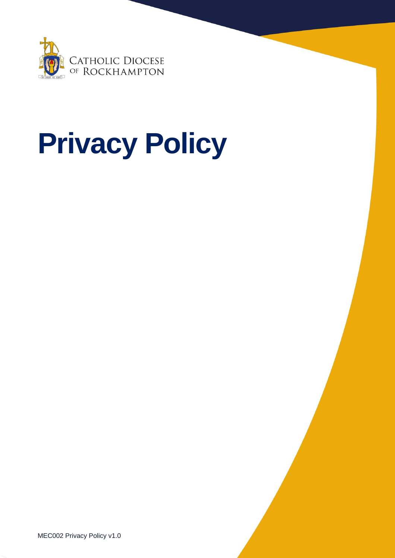

# **Privacy Policy**

MEC002 Privacy Policy v1.0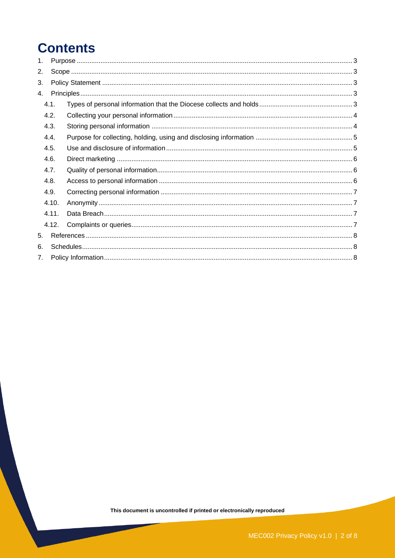# **Contents**

| 1.                   |       |       |  |  |  |
|----------------------|-------|-------|--|--|--|
| 2.                   |       |       |  |  |  |
| 3.                   |       |       |  |  |  |
| 4.                   |       |       |  |  |  |
|                      | 4.1.  |       |  |  |  |
| 4.2.<br>4.3.<br>4.4. |       |       |  |  |  |
|                      |       |       |  |  |  |
|                      |       |       |  |  |  |
| 4.5.                 |       |       |  |  |  |
| 4.6.                 |       |       |  |  |  |
| 4.7.                 |       |       |  |  |  |
|                      | 4.8.  |       |  |  |  |
| 4.9.                 |       |       |  |  |  |
|                      | 4.10. |       |  |  |  |
|                      | 4.11. |       |  |  |  |
|                      |       | 4.12. |  |  |  |
| 5.                   |       |       |  |  |  |
| 6.                   |       |       |  |  |  |
| 7 <sub>1</sub>       |       |       |  |  |  |
|                      |       |       |  |  |  |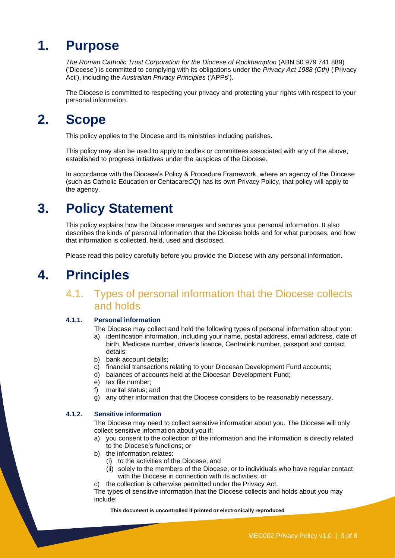# <span id="page-2-0"></span>**1. Purpose**

*The Roman Catholic Trust Corporation for the Diocese of Rockhampton* (ABN 50 979 741 889) ('Diocese') is committed to complying with its obligations under the *Privacy Act 1988 (Cth)* ('Privacy Act'), including the *Australian Privacy Principles* ('APPs').

The Diocese is committed to respecting your privacy and protecting your rights with respect to your personal information.

# <span id="page-2-1"></span>**2. Scope**

This policy applies to the Diocese and its ministries including parishes.

This policy may also be used to apply to bodies or committees associated with any of the above, established to progress initiatives under the auspices of the Diocese.

In accordance with the Diocese's Policy & Procedure Framework, where an agency of the Diocese (such as Catholic Education or Centacare*CQ*) has its own Privacy Policy, that policy will apply to the agency.

# <span id="page-2-2"></span>**3. Policy Statement**

This policy explains how the Diocese manages and secures your personal information. It also describes the kinds of personal information that the Diocese holds and for what purposes, and how that information is collected, held, used and disclosed.

Please read this policy carefully before you provide the Diocese with any personal information.

# <span id="page-2-4"></span><span id="page-2-3"></span>**4. Principles**

## 4.1. Types of personal information that the Diocese collects and holds

#### **4.1.1. Personal information**

The Diocese may collect and hold the following types of personal information about you:

- a) identification information, including your name, postal address, email address, date of birth, Medicare number, driver's licence, Centrelink number, passport and contact details;
- b) bank account details;
- c) financial transactions relating to your Diocesan Development Fund accounts;
- d) balances of accounts held at the Diocesan Development Fund;
- e) tax file number;
- f) marital status; and
- g) any other information that the Diocese considers to be reasonably necessary.

#### **4.1.2. Sensitive information**

The Diocese may need to collect sensitive information about you. The Diocese will only collect sensitive information about you if:

- a) you consent to the collection of the information and the information is directly related to the Diocese's functions; or
- b) the information relates:
	- (i) to the activities of the Diocese; and
	- (ii) solely to the members of the Diocese, or to individuals who have regular contact with the Diocese in connection with its activities; or
- c) the collection is otherwise permitted under the Privacy Act.

The types of sensitive information that the Diocese collects and holds about you may include: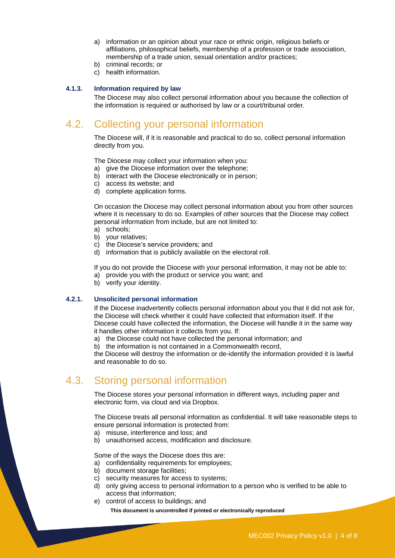- a) information or an opinion about your race or ethnic origin, religious beliefs or affiliations, philosophical beliefs, membership of a profession or trade association, membership of a trade union, sexual orientation and/or practices;
- b) criminal records; or
- c) health information.

#### **4.1.3. Information required by law**

The Diocese may also collect personal information about you because the collection of the information is required or authorised by law or a court/tribunal order.

## <span id="page-3-0"></span>4.2. Collecting your personal information

The Diocese will, if it is reasonable and practical to do so, collect personal information directly from you.

The Diocese may collect your information when you:

- a) give the Diocese information over the telephone;
- b) interact with the Diocese electronically or in person;
- c) access its website; and
- d) complete application forms.

On occasion the Diocese may collect personal information about you from other sources where it is necessary to do so. Examples of other sources that the Diocese may collect personal information from include, but are not limited to:

- a) schools;
- b) your relatives;
- c) the Diocese's service providers; and
- d) information that is publicly available on the electoral roll.

If you do not provide the Diocese with your personal information, it may not be able to: a) provide you with the product or service you want; and

b) verify your identity.

#### **4.2.1. Unsolicited personal information**

If the Diocese inadvertently collects personal information about you that it did not ask for, the Diocese will check whether it could have collected that information itself. If the Diocese could have collected the information, the Diocese will handle it in the same way it handles other information it collects from you. If:

a) the Diocese could not have collected the personal information; and

b) the information is not contained in a Commonwealth record,

the Diocese will destroy the information or de-identify the information provided it is lawful and reasonable to do so.

### <span id="page-3-1"></span>4.3. Storing personal information

The Diocese stores your personal information in different ways, including paper and electronic form, via cloud and via Dropbox.

The Diocese treats all personal information as confidential. It will take reasonable steps to ensure personal information is protected from:

- a) misuse, interference and loss; and
- b) unauthorised access, modification and disclosure.

Some of the ways the Diocese does this are:

- a) confidentiality requirements for employees;
- b) document storage facilities;
- c) security measures for access to systems;
- d) only giving access to personal information to a person who is verified to be able to access that information;
- e) control of access to buildings; and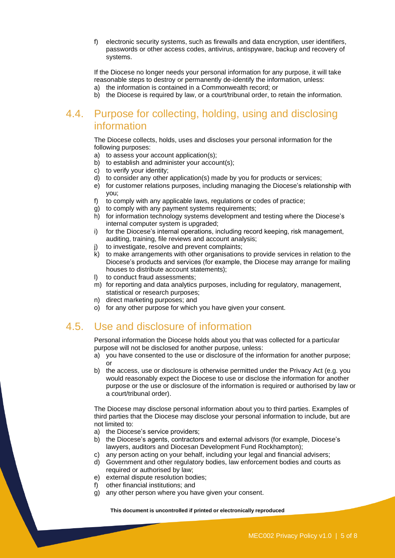f) electronic security systems, such as firewalls and data encryption, user identifiers, passwords or other access codes, antivirus, antispyware, backup and recovery of systems.

If the Diocese no longer needs your personal information for any purpose, it will take reasonable steps to destroy or permanently de-identify the information, unless: a) the information is contained in a Commonwealth record; or

b) the Diocese is required by law, or a court/tribunal order, to retain the information.

## <span id="page-4-0"></span>4.4. Purpose for collecting, holding, using and disclosing information

The Diocese collects, holds, uses and discloses your personal information for the following purposes:

- a) to assess your account application(s);
- b) to establish and administer your account(s);
- c) to verify your identity;
- d) to consider any other application(s) made by you for products or services;
- e) for customer relations purposes, including managing the Diocese's relationship with you;
- f) to comply with any applicable laws, regulations or codes of practice;
- g) to comply with any payment systems requirements;
- h) for information technology systems development and testing where the Diocese's internal computer system is upgraded;
- i) for the Diocese's internal operations, including record keeping, risk management, auditing, training, file reviews and account analysis;
- to investigate, resolve and prevent complaints;
- k) to make arrangements with other organisations to provide services in relation to the Diocese's products and services (for example, the Diocese may arrange for mailing houses to distribute account statements);
- l) to conduct fraud assessments;
- m) for reporting and data analytics purposes, including for regulatory, management, statistical or research purposes;
- n) direct marketing purposes; and
- o) for any other purpose for which you have given your consent.

## <span id="page-4-1"></span>4.5. Use and disclosure of information

Personal information the Diocese holds about you that was collected for a particular purpose will not be disclosed for another purpose, unless:

- a) you have consented to the use or disclosure of the information for another purpose; or
- b) the access, use or disclosure is otherwise permitted under the Privacy Act (e.g. you would reasonably expect the Diocese to use or disclose the information for another purpose or the use or disclosure of the information is required or authorised by law or a court/tribunal order).

The Diocese may disclose personal information about you to third parties. Examples of third parties that the Diocese may disclose your personal information to include, but are not limited to:

- a) the Diocese's service providers;
- b) the Diocese's agents, contractors and external advisors (for example, Diocese's lawyers, auditors and Diocesan Development Fund Rockhampton);
- c) any person acting on your behalf, including your legal and financial advisers;
- d) Government and other regulatory bodies, law enforcement bodies and courts as required or authorised by law;
- e) external dispute resolution bodies;
- f) other financial institutions; and
- g) any other person where you have given your consent.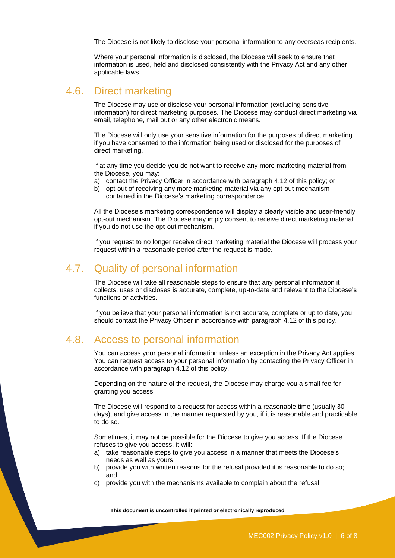The Diocese is not likely to disclose your personal information to any overseas recipients.

Where your personal information is disclosed, the Diocese will seek to ensure that information is used, held and disclosed consistently with the Privacy Act and any other applicable laws.

#### <span id="page-5-0"></span>4.6. Direct marketing

The Diocese may use or disclose your personal information (excluding sensitive information) for direct marketing purposes. The Diocese may conduct direct marketing via email, telephone, mail out or any other electronic means.

The Diocese will only use your sensitive information for the purposes of direct marketing if you have consented to the information being used or disclosed for the purposes of direct marketing.

If at any time you decide you do not want to receive any more marketing material from the Diocese, you may:

- a) contact the Privacy Officer in accordance with paragraph [4.12](#page-6-3) of this policy; or
- b) opt-out of receiving any more marketing material via any opt-out mechanism contained in the Diocese's marketing correspondence.

All the Diocese's marketing correspondence will display a clearly visible and user-friendly opt-out mechanism. The Diocese may imply consent to receive direct marketing material if you do not use the opt-out mechanism.

If you request to no longer receive direct marketing material the Diocese will process your request within a reasonable period after the request is made.

#### <span id="page-5-1"></span>4.7. Quality of personal information

The Diocese will take all reasonable steps to ensure that any personal information it collects, uses or discloses is accurate, complete, up-to-date and relevant to the Diocese's functions or activities.

If you believe that your personal information is not accurate, complete or up to date, you should contact the Privacy Officer in accordance with paragraph [4.12](#page-6-3) of this policy.

#### <span id="page-5-2"></span>4.8. Access to personal information

You can access your personal information unless an exception in the Privacy Act applies. You can request access to your personal information by contacting the Privacy Officer in accordance with paragraph [4.12](#page-6-3) of this policy.

Depending on the nature of the request, the Diocese may charge you a small fee for granting you access.

The Diocese will respond to a request for access within a reasonable time (usually 30 days), and give access in the manner requested by you, if it is reasonable and practicable to do so.

Sometimes, it may not be possible for the Diocese to give you access. If the Diocese refuses to give you access, it will:

- a) take reasonable steps to give you access in a manner that meets the Diocese's needs as well as yours;
- b) provide you with written reasons for the refusal provided it is reasonable to do so; and
- c) provide you with the mechanisms available to complain about the refusal.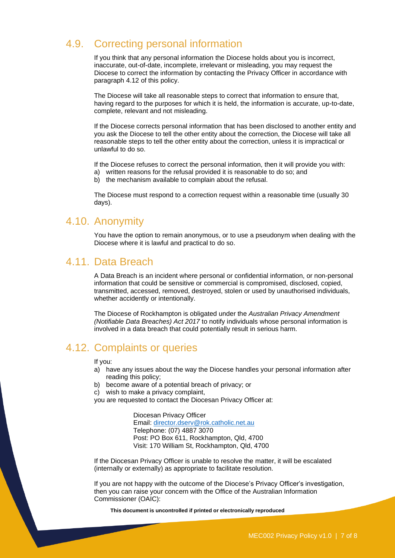### <span id="page-6-0"></span>4.9. Correcting personal information

If you think that any personal information the Diocese holds about you is incorrect, inaccurate, out-of-date, incomplete, irrelevant or misleading, you may request the Diocese to correct the information by contacting the Privacy Officer in accordance with paragraph [4.12](#page-6-3) of this policy.

The Diocese will take all reasonable steps to correct that information to ensure that, having regard to the purposes for which it is held, the information is accurate, up-to-date, complete, relevant and not misleading.

If the Diocese corrects personal information that has been disclosed to another entity and you ask the Diocese to tell the other entity about the correction, the Diocese will take all reasonable steps to tell the other entity about the correction, unless it is impractical or unlawful to do so.

If the Diocese refuses to correct the personal information, then it will provide you with: a) written reasons for the refusal provided it is reasonable to do so; and

b) the mechanism available to complain about the refusal.

The Diocese must respond to a correction request within a reasonable time (usually 30 days).

#### <span id="page-6-1"></span>4.10. Anonymity

You have the option to remain anonymous, or to use a pseudonym when dealing with the Diocese where it is lawful and practical to do so.

#### <span id="page-6-2"></span>4.11. Data Breach

A Data Breach is an incident where personal or confidential information, or non-personal information that could be sensitive or commercial is compromised, disclosed, copied, transmitted, accessed, removed, destroyed, stolen or used by unauthorised individuals, whether accidently or intentionally.

The Diocese of Rockhampton is obligated under the *Australian Privacy Amendment (Notifiable Data Breaches) Act 2017* to notify individuals whose personal information is involved in a data breach that could potentially result in serious harm.

#### <span id="page-6-3"></span>4.12. Complaints or queries

#### If you:

- a) have any issues about the way the Diocese handles your personal information after reading this policy;
- b) become aware of a potential breach of privacy; or
- c) wish to make a privacy complaint,

you are requested to contact the Diocesan Privacy Officer at:

Diocesan Privacy Officer Email: [director.dserv@rok.catholic.net.au](mailto:director.dserv@rok.catholic.net.au) Telephone: (07) 4887 3070 Post: PO Box 611, Rockhampton, Qld, 4700 Visit: 170 William St, Rockhampton, Qld, 4700

If the Diocesan Privacy Officer is unable to resolve the matter, it will be escalated (internally or externally) as appropriate to facilitate resolution.

If you are not happy with the outcome of the Diocese's Privacy Officer's investigation, then you can raise your concern with the Office of the Australian Information Commissioner (OAIC):